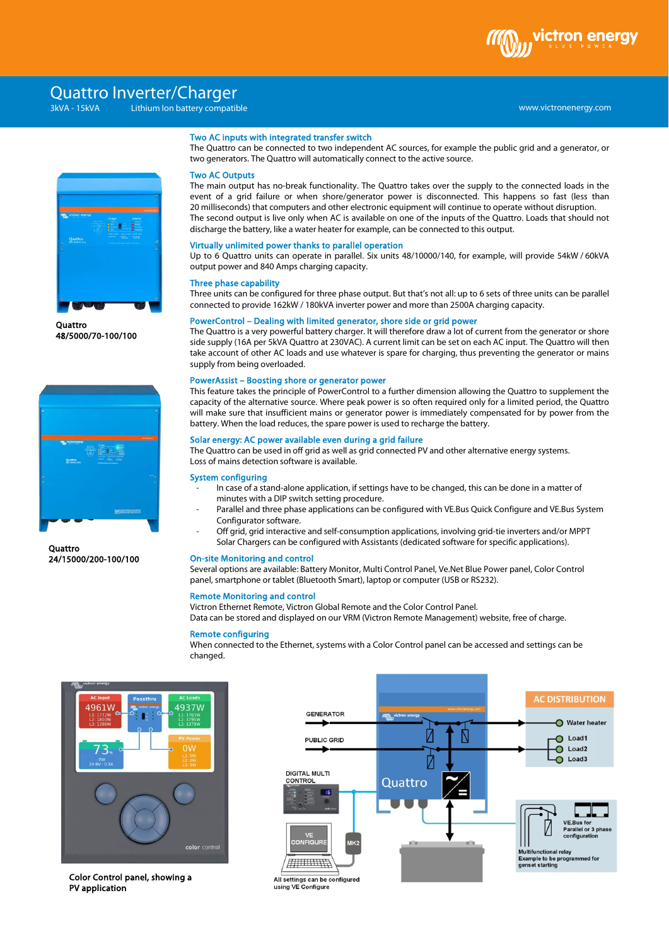

# www.victronenergy.com xxx 3kVA - 15kVA Lithium Ion battery compatible Quattro Inverter/Charger



**Ouattro** 48/5000/70-100/100



**Quattro** 24/15000/200-100/100

### Two AC inputs with integrated transfer switch

The Quattro can be connected to two independent AC sources, for example the public grid and a generator, or two generators. The Quattro will automatically connect to the active source.

# Two AC Outputs

The main output has no-break functionality. The Quattro takes over the supply to the connected loads in the event of a grid failure or when shore/generator power is disconnected. This happens so fast (less than 20 milliseconds) that computers and other electronic equipment will continue to operate without disruption. The second output is live only when AC is available on one of the inputs of the Quattro. Loads that should not discharge the battery, like a water heater for example, can be connected to this output.

#### Virtually unlimited power thanks to parallel operation

Up to 6 Quattro units can operate in parallel. Six units 48/10000/140, for example, will provide 54kW / 60kVA output power and 840 Amps charging capacity.

#### Three phase capability

Three units can be configured for three phase output. But that's not all: up to 6 sets of three units can be parallel connected to provide 162kW / 180kVA inverter power and more than 2500A charging capacity.

### PowerControl – Dealing with limited generator, shore side or grid power

The Quattro is a very powerful battery charger. It will therefore draw a lot of current from the generator or shore side supply (16A per 5kVA Quattro at 230VAC). A current limit can be set on each AC input. The Quattro will then take account of other AC loads and use whatever is spare for charging, thus preventing the generator or mains supply from being overloaded.

#### PowerAssist – Boosting shore or generator power

This feature takes the principle of PowerControl to a further dimension allowing the Quattro to supplement the capacity of the alternative source. Where peak power is so often required only for a limited period, the Quattro will make sure that insufficient mains or generator power is immediately compensated for by power from the battery. When the load reduces, the spare power is used to recharge the battery.

# Solar energy: AC power available even during a grid failure

The Quattro can be used in off grid as well as grid connected PV and other alternative energy systems. Loss of mains detection software is available.

## System configuring

- In case of a stand-alone application, if settings have to be changed, this can be done in a matter of minutes with a DIP switch setting procedure.
- Parallel and three phase applications can be configured with VE.Bus Quick Configure and VE.Bus System Configurator software.
- Off grid, grid interactive and self-consumption applications, involving grid-tie inverters and/or MPPT Solar Chargers can be configured with Assistants (dedicated software for specific applications).

## On-site Monitoring and control

Several options are available: Battery Monitor, Multi Control Panel, Ve.Net Blue Power panel, Color Control panel, smartphone or tablet (Bluetooth Smart), laptop or computer (USB or RS232).

# Remote Monitoring and control

Victron Ethernet Remote, Victron Global Remote and the Color Control Panel. Data can be stored and displayed on our VRM (Victron Remote Management) website, free of charge.

# Remote configuring

When connected to the Ethernet, systems with a Color Control panel can be accessed and settings can be changed.



Color Control panel, showing a PV application